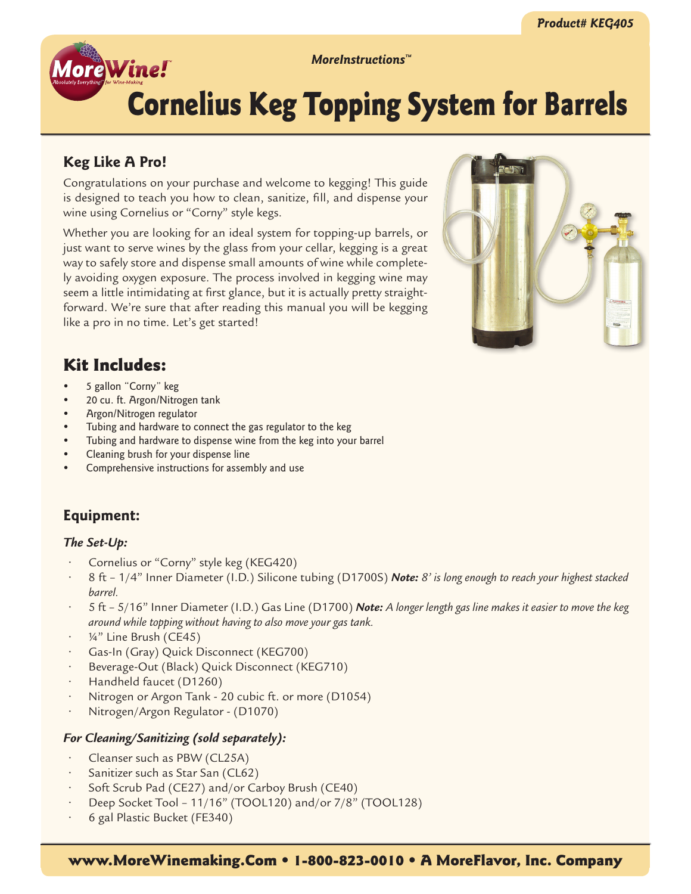# *MoreInstructions™* **AoreWine!** Cornelius Keg Topping System for Barrels

# **Keg Like A Pro!**

Congratulations on your purchase and welcome to kegging! This guide is designed to teach you how to clean, sanitize, fill, and dispense your wine using Cornelius or "Corny" style kegs.

Whether you are looking for an ideal system for topping-up barrels, or just want to serve wines by the glass from your cellar, kegging is a great way to safely store and dispense small amounts of wine while completely avoiding oxygen exposure. The process involved in kegging wine may seem a little intimidating at first glance, but it is actually pretty straightforward. We're sure that after reading this manual you will be kegging like a pro in no time. Let's get started!



# Kit Includes:

- 5 gallon "Corny" keg
- 20 cu. ft. Argon/Nitrogen tank
- Argon/Nitrogen regulator
- Tubing and hardware to connect the gas regulator to the keg
- Tubing and hardware to dispense wine from the keg into your barrel
- Cleaning brush for your dispense line
- Comprehensive instructions for assembly and use

# **Equipment:**

### *The Set-Up:*

- Cornelius or "Corny" style keg (KEG420)
- 8 ft 1/4" Inner Diameter (I.D.) Silicone tubing (D1700S) **Note:** 8' is long enough to reach your highest stacked *barrel.*
- 5 ft 5/16" Inner Diameter (I.D.) Gas Line (D1700) **Note:** A longer length gas line makes it easier to move the keg *around while topping without having to also move your gas tank.*
- 1/4" Line Brush (CE45)
- • Gas-In (Gray) Quick Disconnect (KEG700)
- Beverage-Out (Black) Quick Disconnect (KEG710)
- Handheld faucet (D1260)
- Nitrogen or Argon Tank 20 cubic ft. or more (D1054)
- Nitrogen/Argon Regulator (D1070)

## *For Cleaning/Sanitizing (sold separately):*

- Cleanser such as PBW (CL25A)
- Sanitizer such as Star San (CL62)
- Soft Scrub Pad (CE27) and/or Carboy Brush (CE40)
- Deep Socket Tool 11/16" (TOOL120) and/or 7/8" (TOOL128)
- 6 gal Plastic Bucket (FE340)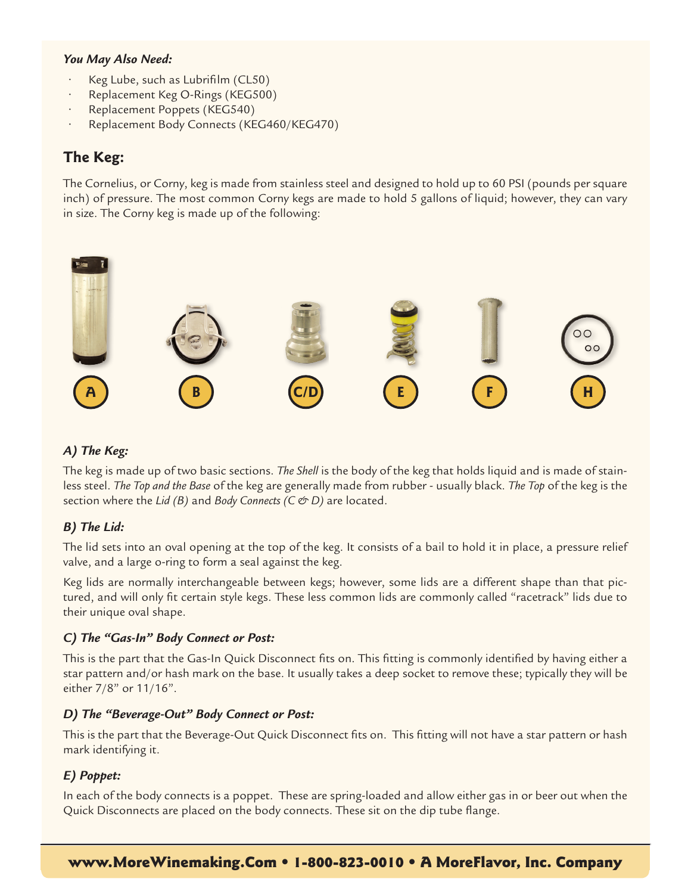#### *You May Also Need:*

- Keg Lube, such as Lubrifilm (CL50)
- Replacement Keg O-Rings (KEG500)
- Replacement Poppets (KEG540)
- Replacement Body Connects (KEG460/KEG470)

# **The Keg:**

The Cornelius, or Corny, keg is made from stainless steel and designed to hold up to 60 PSI (pounds per square inch) of pressure. The most common Corny kegs are made to hold 5 gallons of liquid; however, they can vary in size. The Corny keg is made up of the following:



### *A) The Keg:*

The keg is made up of two basic sections. *The Shell* is the body of the keg that holds liquid and is made of stainless steel. *The Top and the Base* of the keg are generally made from rubber - usually black. *The Top* of the keg is the section where the *Lid (B)* and *Body Connects (C & D)* are located.

### *B) The Lid:*

The lid sets into an oval opening at the top of the keg. It consists of a bail to hold it in place, a pressure relief valve, and a large o-ring to form a seal against the keg.

Keg lids are normally interchangeable between kegs; however, some lids are a different shape than that pictured, and will only fit certain style kegs. These less common lids are commonly called "racetrack" lids due to their unique oval shape.

### *C) The "Gas-In" Body Connect or Post:*

This is the part that the Gas-In Quick Disconnect fits on. This fitting is commonly identified by having either a star pattern and/or hash mark on the base. It usually takes a deep socket to remove these; typically they will be either 7/8" or 11/16".

#### *D) The "Beverage-Out" Body Connect or Post:*

This is the part that the Beverage-Out Quick Disconnect fits on. This fitting will not have a star pattern or hash mark identifying it.

### *E) Poppet:*

In each of the body connects is a poppet. These are spring-loaded and allow either gas in or beer out when the Quick Disconnects are placed on the body connects. These sit on the dip tube flange.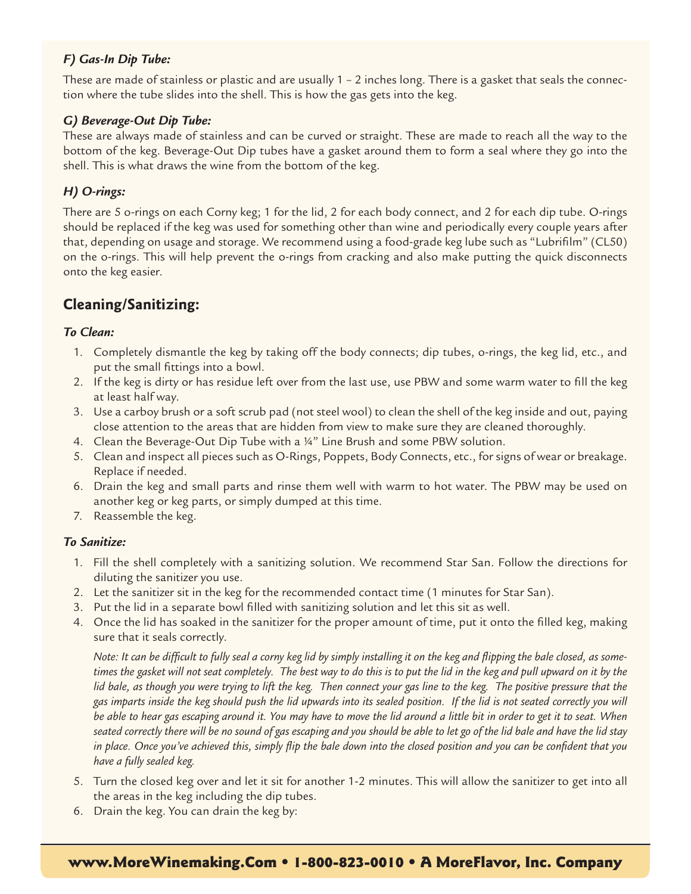### *F) Gas-In Dip Tube:*

These are made of stainless or plastic and are usually  $1 - 2$  inches long. There is a gasket that seals the connection where the tube slides into the shell. This is how the gas gets into the keg.

#### *G) Beverage-Out Dip Tube:*

These are always made of stainless and can be curved or straight. These are made to reach all the way to the bottom of the keg. Beverage-Out Dip tubes have a gasket around them to form a seal where they go into the shell. This is what draws the wine from the bottom of the keg.

#### *H) O-rings:*

There are 5 o-rings on each Corny keg; 1 for the lid, 2 for each body connect, and 2 for each dip tube. O-rings should be replaced if the keg was used for something other than wine and periodically every couple years after that, depending on usage and storage. We recommend using a food-grade keg lube such as "Lubrifilm" (CL50) on the o-rings. This will help prevent the o-rings from cracking and also make putting the quick disconnects onto the keg easier.

# **Cleaning/Sanitizing:**

#### *To Clean:*

- 1. Completely dismantle the keg by taking off the body connects; dip tubes, o-rings, the keg lid, etc., and put the small fittings into a bowl.
- 2. If the keg is dirty or has residue left over from the last use, use PBW and some warm water to fill the keg at least half way.
- 3. Use a carboy brush or a soft scrub pad (not steel wool) to clean the shell of the keg inside and out, paying close attention to the areas that are hidden from view to make sure they are cleaned thoroughly.
- 4. Clean the Beverage-Out Dip Tube with a ¼" Line Brush and some PBW solution.
- 5. Clean and inspect all pieces such as O-Rings, Poppets, Body Connects, etc., for signs of wear or breakage. Replace if needed.
- 6. Drain the keg and small parts and rinse them well with warm to hot water. The PBW may be used on another keg or keg parts, or simply dumped at this time.
- 7. Reassemble the keg.

#### *To Sanitize:*

- 1. Fill the shell completely with a sanitizing solution. We recommend Star San. Follow the directions for diluting the sanitizer you use.
- 2. Let the sanitizer sit in the keg for the recommended contact time (1 minutes for Star San).
- 3. Put the lid in a separate bowl filled with sanitizing solution and let this sit as well.
- 4. Once the lid has soaked in the sanitizer for the proper amount of time, put it onto the filled keg, making sure that it seals correctly.

*Note: It can be difficult to fully seal a corny keg lid by simply installing it on the keg and flipping the bale closed, as sometimes the gasket will not seat completely. The best way to do this is to put the lid in the keg and pull upward on it by the lid bale, as though you were trying to lift the keg. Then connect your gas line to the keg. The positive pressure that the gas imparts inside the keg should push the lid upwards into its sealed position. If the lid is not seated correctly you will be able to hear gas escaping around it. You may have to move the lid around a little bit in order to get it to seat. When seated correctly there will be no sound of gas escaping and you should be able to let go of the lid bale and have the lid stay in place. Once you've achieved this, simply flip the bale down into the closed position and you can be confident that you have a fully sealed keg.*

- 5. Turn the closed keg over and let it sit for another 1-2 minutes. This will allow the sanitizer to get into all the areas in the keg including the dip tubes.
- 6. Drain the keg. You can drain the keg by: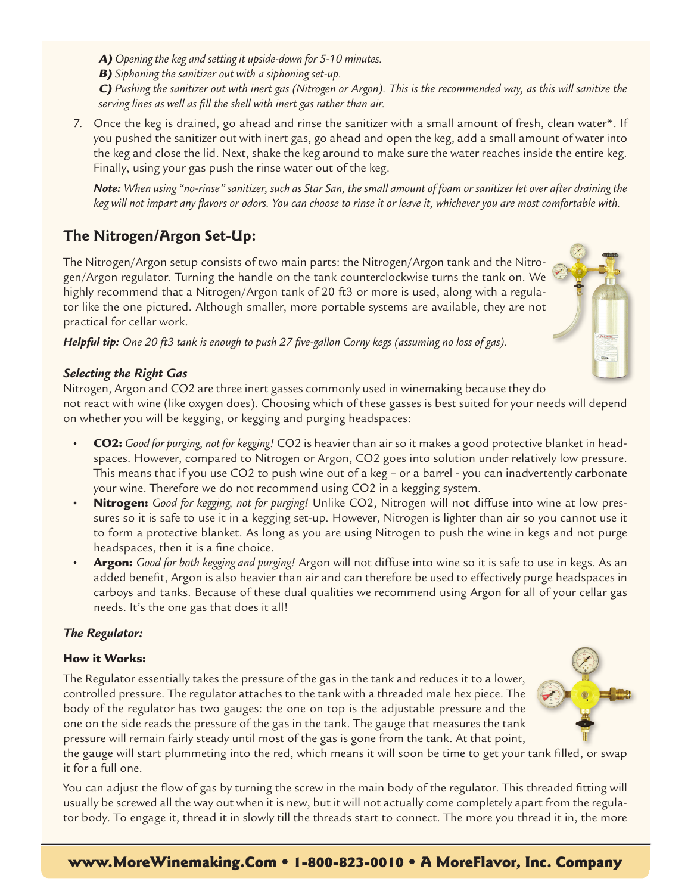- A) *Opening the keg and setting it upside-down for 5-10 minutes.*
- B) *Siphoning the sanitizer out with a siphoning set-up.*

C) *Pushing the sanitizer out with inert gas (Nitrogen or Argon). This is the recommended way, as this will sanitize the serving lines as well as fill the shell with inert gas rather than air.*

7. Once the keg is drained, go ahead and rinse the sanitizer with a small amount of fresh, clean water\*. If you pushed the sanitizer out with inert gas, go ahead and open the keg, add a small amount of water into the keg and close the lid. Next, shake the keg around to make sure the water reaches inside the entire keg. Finally, using your gas push the rinse water out of the keg.

*Note: When using "no-rinse" sanitizer, such as Star San, the small amount of foam or sanitizer let over after draining the keg will not impart any flavors or odors. You can choose to rinse it or leave it, whichever you are most comfortable with.*

# **The Nitrogen/Argon Set-Up:**

The Nitrogen/Argon setup consists of two main parts: the Nitrogen/Argon tank and the Nitrogen/Argon regulator. Turning the handle on the tank counterclockwise turns the tank on. We highly recommend that a Nitrogen/Argon tank of 20 ft3 or more is used, along with a regulator like the one pictured. Although smaller, more portable systems are available, they are not practical for cellar work.

*Helpful tip: One 20 ft3 tank is enough to push 27 five-gallon Corny kegs (assuming no loss of gas).* 

#### *Selecting the Right Gas*

Nitrogen, Argon and CO2 are three inert gasses commonly used in winemaking because they do not react with wine (like oxygen does). Choosing which of these gasses is best suited for your needs will depend on whether you will be kegging, or kegging and purging headspaces:

- **CO2:** Good for purging, not for kegging! CO2 is heavier than air so it makes a good protective blanket in headspaces. However, compared to Nitrogen or Argon, CO2 goes into solution under relatively low pressure. This means that if you use CO2 to push wine out of a keg – or a barrel - you can inadvertently carbonate your wine. Therefore we do not recommend using CO2 in a kegging system.
- **Nitrogen:** Good for kegging, not for purging! Unlike CO2, Nitrogen will not diffuse into wine at low pressures so it is safe to use it in a kegging set-up. However, Nitrogen is lighter than air so you cannot use it to form a protective blanket. As long as you are using Nitrogen to push the wine in kegs and not purge headspaces, then it is a fine choice.
- **Argon:** *Good for both kegging and purging!* Argon will not diffuse into wine so it is safe to use in kegs. As an added benefit, Argon is also heavier than air and can therefore be used to effectively purge headspaces in carboys and tanks. Because of these dual qualities we recommend using Argon for all of your cellar gas needs. It's the one gas that does it all!

#### *The Regulator:*

#### How it Works:

The Regulator essentially takes the pressure of the gas in the tank and reduces it to a lower, controlled pressure. The regulator attaches to the tank with a threaded male hex piece. The body of the regulator has two gauges: the one on top is the adjustable pressure and the one on the side reads the pressure of the gas in the tank. The gauge that measures the tank pressure will remain fairly steady until most of the gas is gone from the tank. At that point,

the gauge will start plummeting into the red, which means it will soon be time to get your tank filled, or swap it for a full one.

You can adjust the flow of gas by turning the screw in the main body of the regulator. This threaded fitting will usually be screwed all the way out when it is new, but it will not actually come completely apart from the regulator body. To engage it, thread it in slowly till the threads start to connect. The more you thread it in, the more



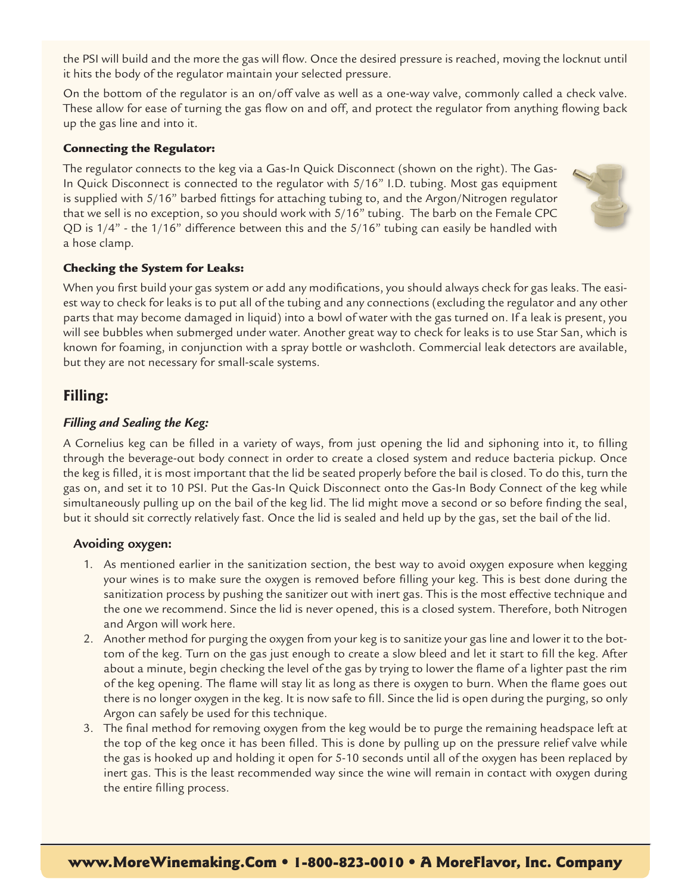the PSI will build and the more the gas will flow. Once the desired pressure is reached, moving the locknut until it hits the body of the regulator maintain your selected pressure.

On the bottom of the regulator is an on/off valve as well as a one-way valve, commonly called a check valve. These allow for ease of turning the gas flow on and off, and protect the regulator from anything flowing back up the gas line and into it.

#### Connecting the Regulator:

The regulator connects to the keg via a Gas-In Quick Disconnect (shown on the right). The Gas-In Quick Disconnect is connected to the regulator with 5/16" I.D. tubing. Most gas equipment is supplied with 5/16" barbed fittings for attaching tubing to, and the Argon/Nitrogen regulator that we sell is no exception, so you should work with 5/16" tubing. The barb on the Female CPC QD is 1/4" - the 1/16" difference between this and the 5/16" tubing can easily be handled with a hose clamp.



#### Checking the System for Leaks:

When you first build your gas system or add any modifications, you should always check for gas leaks. The easiest way to check for leaks is to put all of the tubing and any connections (excluding the regulator and any other parts that may become damaged in liquid) into a bowl of water with the gas turned on. If a leak is present, you will see bubbles when submerged under water. Another great way to check for leaks is to use Star San, which is known for foaming, in conjunction with a spray bottle or washcloth. Commercial leak detectors are available, but they are not necessary for small-scale systems.

# **Filling:**

### *Filling and Sealing the Keg:*

A Cornelius keg can be filled in a variety of ways, from just opening the lid and siphoning into it, to filling through the beverage-out body connect in order to create a closed system and reduce bacteria pickup. Once the keg is filled, it is most important that the lid be seated properly before the bail is closed. To do this, turn the gas on, and set it to 10 PSI. Put the Gas-In Quick Disconnect onto the Gas-In Body Connect of the keg while simultaneously pulling up on the bail of the keg lid. The lid might move a second or so before finding the seal, but it should sit correctly relatively fast. Once the lid is sealed and held up by the gas, set the bail of the lid.

### **Avoiding oxygen:**

- 1. As mentioned earlier in the sanitization section, the best way to avoid oxygen exposure when kegging your wines is to make sure the oxygen is removed before filling your keg. This is best done during the sanitization process by pushing the sanitizer out with inert gas. This is the most effective technique and the one we recommend. Since the lid is never opened, this is a closed system. Therefore, both Nitrogen and Argon will work here.
- 2. Another method for purging the oxygen from your keg is to sanitize your gas line and lower it to the bottom of the keg. Turn on the gas just enough to create a slow bleed and let it start to fill the keg. After about a minute, begin checking the level of the gas by trying to lower the flame of a lighter past the rim of the keg opening. The flame will stay lit as long as there is oxygen to burn. When the flame goes out there is no longer oxygen in the keg. It is now safe to fill. Since the lid is open during the purging, so only Argon can safely be used for this technique.
- 3. The final method for removing oxygen from the keg would be to purge the remaining headspace left at the top of the keg once it has been filled. This is done by pulling up on the pressure relief valve while the gas is hooked up and holding it open for 5-10 seconds until all of the oxygen has been replaced by inert gas. This is the least recommended way since the wine will remain in contact with oxygen during the entire filling process.